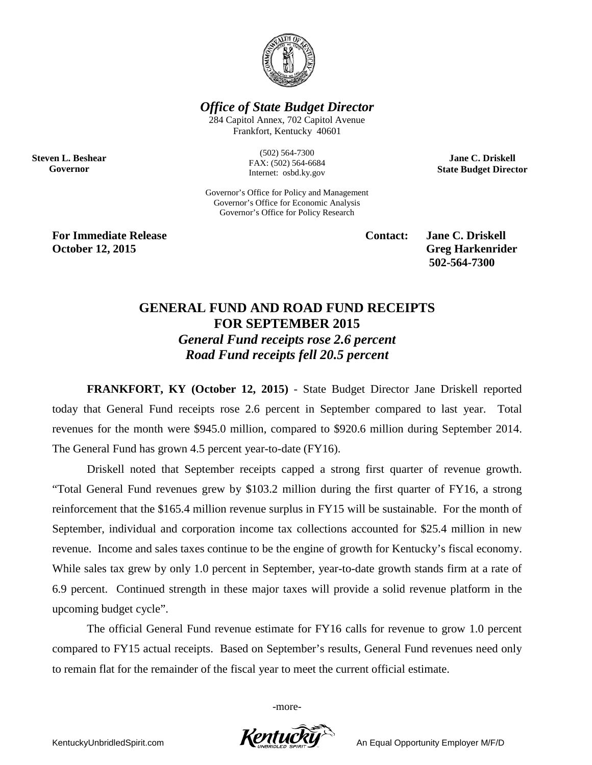

*Office of State Budget Director*

284 Capitol Annex, 702 Capitol Avenue Frankfort, Kentucky 40601

**Steven L. Beshear Governor**

(502) 564-7300 FAX: (502) 564-6684 Internet: osbd.ky.gov

Governor's Office for Policy and Management Governor's Office for Economic Analysis Governor's Office for Policy Research

**For Immediate Release Contact: Jane C. Driskell October 12, 2015** Greg Harkenrider

**502-564-7300** 

**Jane C. Driskell State Budget Director**

## **GENERAL FUND AND ROAD FUND RECEIPTS FOR SEPTEMBER 2015**

*General Fund receipts rose 2.6 percent Road Fund receipts fell 20.5 percent*

**FRANKFORT, KY (October 12, 2015)** - State Budget Director Jane Driskell reported today that General Fund receipts rose 2.6 percent in September compared to last year. Total revenues for the month were \$945.0 million, compared to \$920.6 million during September 2014. The General Fund has grown 4.5 percent year-to-date (FY16).

Driskell noted that September receipts capped a strong first quarter of revenue growth. "Total General Fund revenues grew by \$103.2 million during the first quarter of FY16, a strong reinforcement that the \$165.4 million revenue surplus in FY15 will be sustainable. For the month of September, individual and corporation income tax collections accounted for \$25.4 million in new revenue. Income and sales taxes continue to be the engine of growth for Kentucky's fiscal economy. While sales tax grew by only 1.0 percent in September, year-to-date growth stands firm at a rate of 6.9 percent. Continued strength in these major taxes will provide a solid revenue platform in the upcoming budget cycle".

The official General Fund revenue estimate for FY16 calls for revenue to grow 1.0 percent compared to FY15 actual receipts. Based on September's results, General Fund revenues need only to remain flat for the remainder of the fiscal year to meet the current official estimate.

-more-

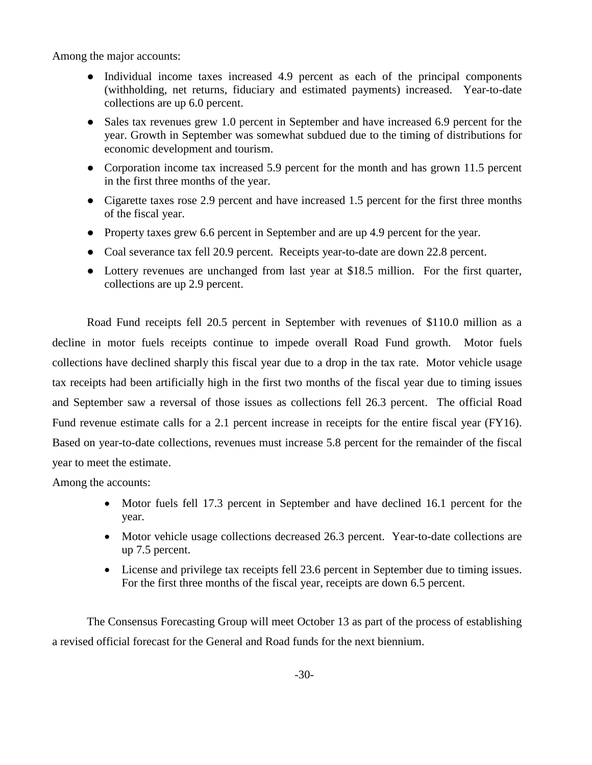Among the major accounts:

- Individual income taxes increased 4.9 percent as each of the principal components (withholding, net returns, fiduciary and estimated payments) increased. Year-to-date collections are up 6.0 percent.
- Sales tax revenues grew 1.0 percent in September and have increased 6.9 percent for the year. Growth in September was somewhat subdued due to the timing of distributions for economic development and tourism.
- Corporation income tax increased 5.9 percent for the month and has grown 11.5 percent in the first three months of the year.
- Cigarette taxes rose 2.9 percent and have increased 1.5 percent for the first three months of the fiscal year.
- Property taxes grew 6.6 percent in September and are up 4.9 percent for the year.
- Coal severance tax fell 20.9 percent. Receipts year-to-date are down 22.8 percent.
- Lottery revenues are unchanged from last year at \$18.5 million. For the first quarter, collections are up 2.9 percent.

Road Fund receipts fell 20.5 percent in September with revenues of \$110.0 million as a decline in motor fuels receipts continue to impede overall Road Fund growth. Motor fuels collections have declined sharply this fiscal year due to a drop in the tax rate. Motor vehicle usage tax receipts had been artificially high in the first two months of the fiscal year due to timing issues and September saw a reversal of those issues as collections fell 26.3 percent. The official Road Fund revenue estimate calls for a 2.1 percent increase in receipts for the entire fiscal year (FY16). Based on year-to-date collections, revenues must increase 5.8 percent for the remainder of the fiscal year to meet the estimate.

Among the accounts:

- Motor fuels fell 17.3 percent in September and have declined 16.1 percent for the year.
- Motor vehicle usage collections decreased 26.3 percent. Year-to-date collections are up 7.5 percent.
- License and privilege tax receipts fell 23.6 percent in September due to timing issues. For the first three months of the fiscal year, receipts are down 6.5 percent.

The Consensus Forecasting Group will meet October 13 as part of the process of establishing a revised official forecast for the General and Road funds for the next biennium.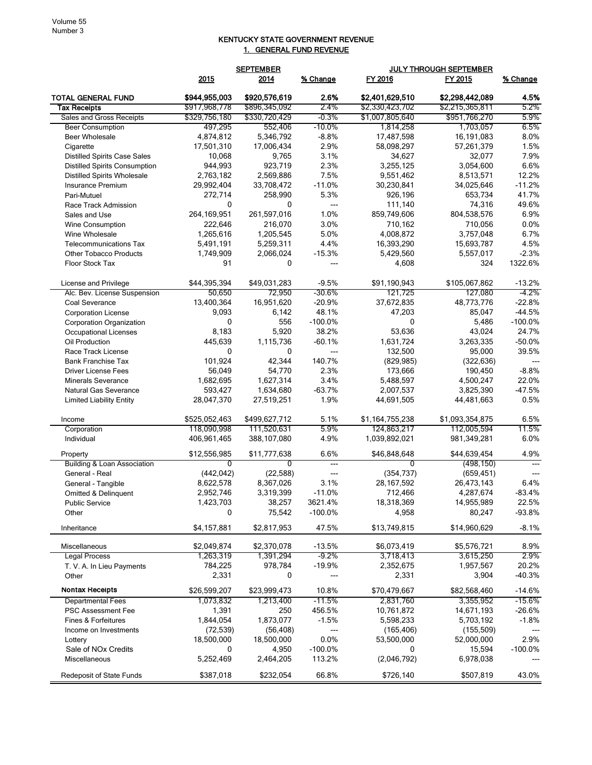## KENTUCKY STATE GOVERNMENT REVENUE 1. GENERAL FUND REVENUE

|                                                  |                                | <b>SEPTEMBER</b>               |                      | <b>JULY THROUGH SEPTEMBER</b>      |                                    |                 |
|--------------------------------------------------|--------------------------------|--------------------------------|----------------------|------------------------------------|------------------------------------|-----------------|
|                                                  | 2015                           | 2014                           | % Change             | FY 2016                            | FY 2015                            | % Change        |
| <b>TOTAL GENERAL FUND</b><br><b>Tax Receipts</b> | \$944,955,003<br>\$917,968,778 | \$920,576,619<br>\$896,345,092 | 2.6%<br>2.4%         | \$2,401,629,510<br>\$2,330,423,702 | \$2,298,442,089<br>\$2,215,365,811 | 4.5%<br>5.2%    |
| Sales and Gross Receipts                         | \$329,756,180                  | \$330,720,429                  | $-0.3%$              | \$1,007,805,640                    | \$951,766,270                      | 5.9%            |
| <b>Beer Consumption</b>                          | 497,295                        | 552,406                        | $-10.0\%$            | 1,814,258                          | 1,703,057                          | 6.5%            |
| <b>Beer Wholesale</b>                            | 4,874,812                      | 5,346,792                      | $-8.8%$              | 17,487,598                         | 16,191,083                         | 8.0%            |
| Cigarette                                        | 17,501,310                     | 17,006,434                     | 2.9%                 | 58,098,297                         | 57,261,379                         | 1.5%            |
| <b>Distilled Spirits Case Sales</b>              | 10,068                         | 9,765                          | 3.1%                 | 34,627                             | 32,077                             | 7.9%            |
| <b>Distilled Spirits Consumption</b>             | 944,993                        | 923,719                        | 2.3%                 | 3,255,125                          | 3,054,600                          | 6.6%            |
| <b>Distilled Spirits Wholesale</b>               | 2,763,182                      | 2,569,886                      | 7.5%                 | 9,551,462                          | 8,513,571                          | 12.2%           |
| Insurance Premium                                | 29,992,404                     | 33,708,472                     | $-11.0%$             | 30,230,841                         | 34,025,646                         | $-11.2%$        |
| Pari-Mutuel                                      | 272,714                        | 258,990                        | 5.3%                 | 926,196                            | 653,734                            | 41.7%           |
| Race Track Admission                             | 0                              | 0                              | $\overline{a}$       | 111,140                            | 74,316                             | 49.6%           |
| Sales and Use                                    | 264,169,951                    | 261,597,016                    | 1.0%                 | 859,749,606                        | 804,538,576                        | 6.9%            |
| Wine Consumption                                 | 222,646                        | 216,070                        | 3.0%                 | 710,162                            | 710,056                            | 0.0%            |
| Wine Wholesale                                   | 1,265,616                      | 1,205,545                      | 5.0%                 | 4,008,872                          | 3,757,048                          | 6.7%            |
| <b>Telecommunications Tax</b>                    | 5,491,191                      | 5,259,311                      | 4.4%                 | 16,393,290                         | 15,693,787                         | 4.5%            |
| <b>Other Tobacco Products</b>                    | 1,749,909                      | 2,066,024                      | $-15.3%$             | 5,429,560                          | 5,557,017                          | $-2.3%$         |
| Floor Stock Tax                                  | 91                             | 0                              | ---                  | 4,608                              | 324                                | 1322.6%         |
| License and Privilege                            | \$44,395,394                   | \$49,031,283                   | $-9.5%$              | \$91,190,943                       | \$105,067,862                      | $-13.2%$        |
| Alc. Bev. License Suspension                     | 50,650                         | 72.950                         | $-30.6%$             | 121.725                            | 127,080                            | -4.2%           |
| Coal Severance                                   | 13,400,364                     | 16,951,620                     | $-20.9%$             | 37,672,835                         | 48,773,776                         | $-22.8%$        |
| <b>Corporation License</b>                       | 9,093                          | 6,142                          | 48.1%                | 47,203                             | 85,047                             | $-44.5%$        |
| Corporation Organization                         | 0                              | 556                            | $-100.0%$            | 0                                  | 5,486                              | $-100.0%$       |
| <b>Occupational Licenses</b>                     | 8,183                          | 5,920                          | 38.2%                | 53,636                             | 43,024                             | 24.7%           |
| Oil Production                                   | 445,639                        | 1,115,736                      | $-60.1%$             | 1,631,724                          | 3,263,335                          | $-50.0%$        |
| Race Track License                               | 0                              | 0                              | ---                  | 132,500                            | 95,000                             | 39.5%           |
| <b>Bank Franchise Tax</b>                        | 101,924                        | 42,344                         | 140.7%               | (829, 985)                         | (322, 636)                         |                 |
| <b>Driver License Fees</b>                       | 56,049                         | 54,770                         | 2.3%                 | 173,666                            | 190,450                            | $-8.8%$         |
| <b>Minerals Severance</b>                        | 1,682,695                      | 1,627,314                      | 3.4%                 | 5,488,597                          | 4,500,247                          | 22.0%           |
| Natural Gas Severance                            | 593,427                        | 1,634,680                      | $-63.7%$             | 2,007,537                          | 3,825,390                          | $-47.5%$        |
| <b>Limited Liability Entity</b>                  | 28,047,370                     | 27,519,251                     | 1.9%                 | 44,691,505                         | 44,481,663                         | 0.5%            |
| Income                                           | \$525,052,463                  | \$499,627,712                  | 5.1%                 | \$1,164,755,238                    | \$1,093,354,875                    | 6.5%            |
| Corporation                                      | 118,090,998                    | 111,520,631                    | 5.9%                 | 124,863,217                        | 112,005,594                        | 11.5%           |
| Individual                                       | 406,961,465                    | 388,107,080                    | 4.9%                 | 1,039,892,021                      | 981,349,281                        | 6.0%            |
| Property                                         | \$12,556,985                   | \$11,777,638                   | 6.6%                 | \$46,848,648                       | \$44,639,454                       | 4.9%            |
| Building & Loan Association                      | $\overline{0}$                 | $\overline{0}$                 | $---$                | $\overline{0}$                     | (498, 150)                         | $---$           |
| General - Real                                   | (442, 042)                     | (22, 588)                      | ---                  | (354, 737)                         | (659, 451)                         | ---             |
| General - Tangible                               | 8,622,578                      | 8,367,026                      | 3.1%                 | 28, 167, 592                       | 26,473,143                         | 6.4%            |
| Omitted & Delinquent                             | 2,952,746                      | 3,319,399                      | $-11.0%$             | 712,466                            | 4,287,674                          | $-83.4%$        |
| <b>Public Service</b><br>Other                   | 1,423,703<br>0                 | 38,257<br>75,542               | 3621.4%<br>$-100.0%$ | 18,318,369<br>4,958                | 14,955,989<br>80,247               | 22.5%<br>-93.8% |
| Inheritance                                      | \$4,157,881                    | \$2,817,953                    | 47.5%                | \$13,749,815                       | \$14,960,629                       | $-8.1%$         |
|                                                  |                                |                                |                      |                                    |                                    |                 |
| Miscellaneous                                    | \$2,049,874                    | \$2,370,078                    | $-13.5%$             | \$6,073,419                        | \$5,576,721                        | 8.9%            |
| <b>Legal Process</b>                             | 1,263,319                      | 1,391,294                      | $-9.2\%$             | 3,718,413                          | 3,615,250                          | 2.9%            |
| T. V. A. In Lieu Payments                        | 784,225                        | 978,784                        | $-19.9%$             | 2,352,675                          | 1,957,567                          | 20.2%           |
| Other                                            | 2,331                          | 0                              | ---                  | 2,331                              | 3,904                              | $-40.3%$        |
| <b>Nontax Receipts</b>                           | \$26,599,207                   | \$23,999,473                   | 10.8%                | \$70,479,667                       | \$82,568,460                       | $-14.6%$        |
| <b>Departmental Fees</b>                         | 1,073,832                      | 1,213,400                      | $-11.5%$             | 2,831,760                          | 3,355,952                          | -15.6%          |
| <b>PSC Assessment Fee</b>                        | 1,391<br>1,844,054             | 250                            | 456.5%               | 10,761,872                         | 14,671,193                         | -26.6%          |
| <b>Fines &amp; Forfeitures</b>                   |                                | 1,873,077                      | $-1.5%$<br>---       | 5,598,233                          | 5,703,192                          | $-1.8%$         |
| Income on Investments                            | (72, 539)<br>18,500,000        | (56, 408)<br>18,500,000        | 0.0%                 | (165, 406)<br>53,500,000           | (155, 509)<br>52,000,000           | 2.9%            |
| Lottery<br>Sale of NO <sub>x</sub> Credits       | 0                              | 4,950                          | $-100.0%$            | 0                                  | 15,594                             | $-100.0%$       |
| Miscellaneous                                    | 5,252,469                      | 2,464,205                      | 113.2%               | (2,046,792)                        | 6,978,038                          |                 |
|                                                  | \$387,018                      | \$232,054                      | 66.8%                | \$726,140                          | \$507,819                          | 43.0%           |
| <b>Redeposit of State Funds</b>                  |                                |                                |                      |                                    |                                    |                 |